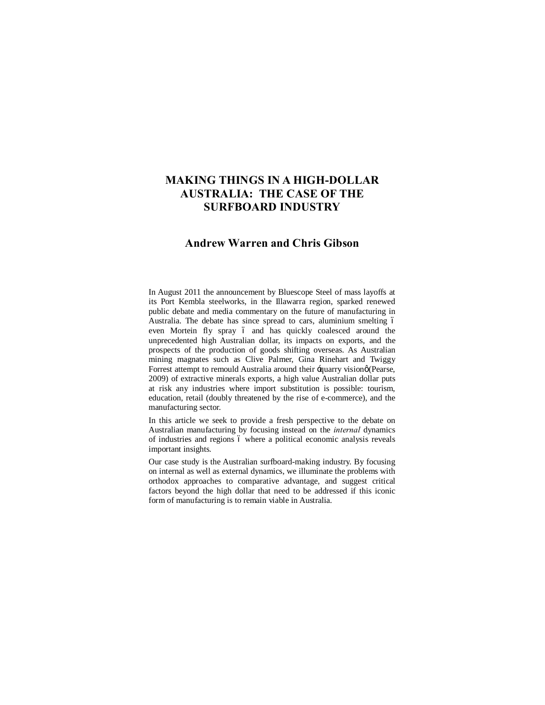# **MAKING THINGS IN A HIGH-DOLLAR AUSTRALIA: THE CASE OF THE SURFBOARD INDUSTRY**

# **Andrew Warren and Chris Gibson**

In August 2011 the announcement by Bluescope Steel of mass layoffs at its Port Kembla steelworks, in the Illawarra region, sparked renewed public debate and media commentary on the future of manufacturing in Australia. The debate has since spread to cars, aluminium smelting 6 even Mortein fly spray 6 and has quickly coalesced around the unprecedented high Australian dollar, its impacts on exports, and the prospects of the production of goods shifting overseas. As Australian mining magnates such as Clive Palmer, Gina Rinehart and Twiggy Forrest attempt to remould Australia around their -quarry visiono (Pearse, 2009) of extractive minerals exports, a high value Australian dollar puts at risk any industries where import substitution is possible: tourism, education, retail (doubly threatened by the rise of e-commerce), and the manufacturing sector.

In this article we seek to provide a fresh perspective to the debate on Australian manufacturing by focusing instead on the *internal* dynamics of industries and regions 6 where a political economic analysis reveals important insights.

Our case study is the Australian surfboard-making industry. By focusing on internal as well as external dynamics, we illuminate the problems with orthodox approaches to comparative advantage, and suggest critical factors beyond the high dollar that need to be addressed if this iconic form of manufacturing is to remain viable in Australia.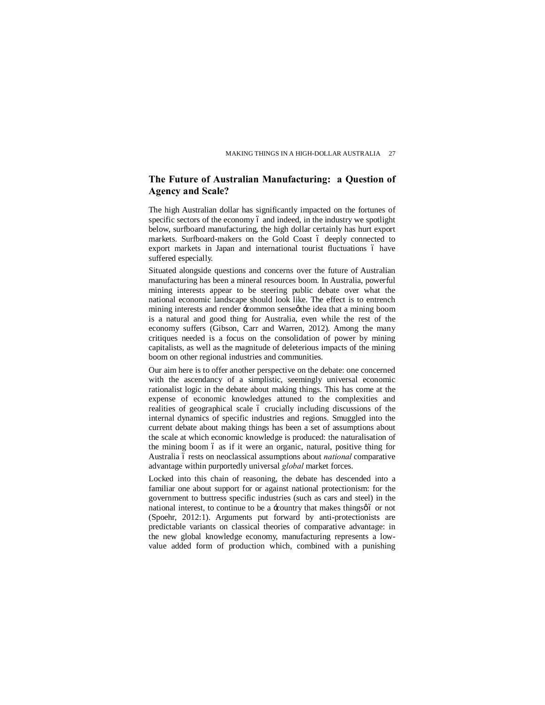# **The Future of Australian Manufacturing: a Question of Agency and Scale?**

The high Australian dollar has significantly impacted on the fortunes of specific sectors of the economy 6 and indeed, in the industry we spotlight below, surfboard manufacturing, the high dollar certainly has hurt export markets. Surfboard-makers on the Gold Coast 6 deeply connected to export markets in Japan and international tourist fluctuations 6 have suffered especially.

Situated alongside questions and concerns over the future of Australian manufacturing has been a mineral resources boom. In Australia, powerful mining interests appear to be steering public debate over what the national economic landscape should look like. The effect is to entrench mining interests and render  $\div$ common senseøthe idea that a mining boom is a natural and good thing for Australia, even while the rest of the economy suffers (Gibson, Carr and Warren, 2012). Among the many critiques needed is a focus on the consolidation of power by mining capitalists, as well as the magnitude of deleterious impacts of the mining boom on other regional industries and communities.

Our aim here is to offer another perspective on the debate: one concerned with the ascendancy of a simplistic, seemingly universal economic rationalist logic in the debate about making things. This has come at the expense of economic knowledges attuned to the complexities and realities of geographical scale 6 crucially including discussions of the internal dynamics of specific industries and regions. Smuggled into the current debate about making things has been a set of assumptions about the scale at which economic knowledge is produced: the naturalisation of the mining boom 6 as if it were an organic, natural, positive thing for Australia ó rests on neoclassical assumptions about *national* comparative advantage within purportedly universal *global* market forces.

Locked into this chain of reasoning, the debate has descended into a familiar one about support for or against national protectionism: for the government to buttress specific industries (such as cars and steel) in the national interest, to continue to be a -country that makes things  $\phi$  or not (Spoehr, 2012:1). Arguments put forward by anti-protectionists are predictable variants on classical theories of comparative advantage: in the new global knowledge economy, manufacturing represents a lowvalue added form of production which, combined with a punishing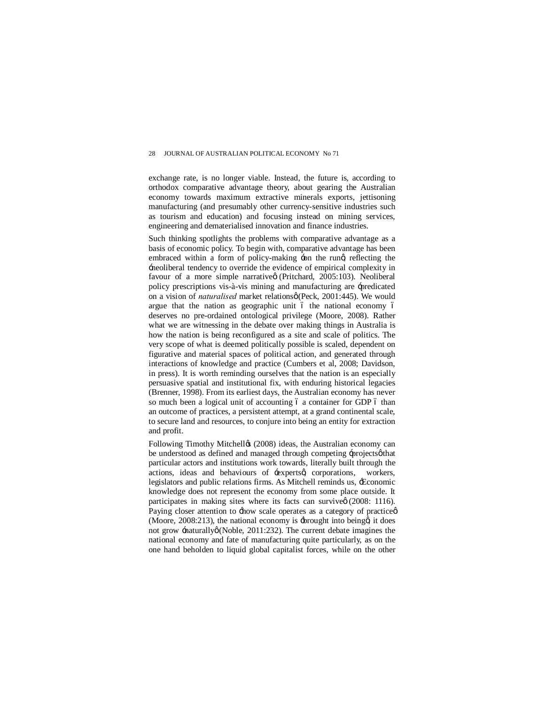exchange rate, is no longer viable. Instead, the future is, according to orthodox comparative advantage theory, about gearing the Australian economy towards maximum extractive minerals exports, jettisoning manufacturing (and presumably other currency-sensitive industries such as tourism and education) and focusing instead on mining services, engineering and dematerialised innovation and finance industries.

Such thinking spotlights the problems with comparative advantage as a basis of economic policy. To begin with, comparative advantage has been embraced within a form of policy-making  $\div$ on the rung reflecting the 'neoliberal tendency to override the evidence of empirical complexity in favour of a more simple narrative (Pritchard, 2005:103). Neoliberal policy prescriptions vis-à-vis mining and manufacturing are 'predicated on a vision of *naturalised* market relations of Peck, 2001:445). We would argue that the nation as geographic unit 6 the national economy 6 deserves no pre-ordained ontological privilege (Moore, 2008). Rather what we are witnessing in the debate over making things in Australia is how the nation is being reconfigured as a site and scale of politics. The very scope of what is deemed politically possible is scaled, dependent on figurative and material spaces of political action, and generated through interactions of knowledge and practice (Cumbers et al, 2008; Davidson, in press). It is worth reminding ourselves that the nation is an especially persuasive spatial and institutional fix, with enduring historical legacies (Brenner, 1998). From its earliest days, the Australian economy has never so much been a logical unit of accounting 6 a container for GDP 6 than an outcome of practices, a persistent attempt, at a grand continental scale, to secure land and resources, to conjure into being an entity for extraction and profit.

Following Timothy Mitchello (2008) ideas, the Australian economy can be understood as defined and managed through competing -projects othat particular actors and institutions work towards, literally built through the actions, ideas and behaviours of -experts q corporations, workers, legislators and public relations firms. As Mitchell reminds us, 'Economic knowledge does not represent the economy from some place outside. It participates in making sites where its facts can survive $\varphi$  (2008: 1116). Paying closer attention to  $\pm$ how scale operates as a category of practice $\phi$ (Moore,  $2008:213$ ), the national economy is  $\pm$ brought into being  $\alpha$  it does not grow  $\pm$ naturally $\emptyset$  (Noble, 2011:232). The current debate imagines the national economy and fate of manufacturing quite particularly, as on the one hand beholden to liquid global capitalist forces, while on the other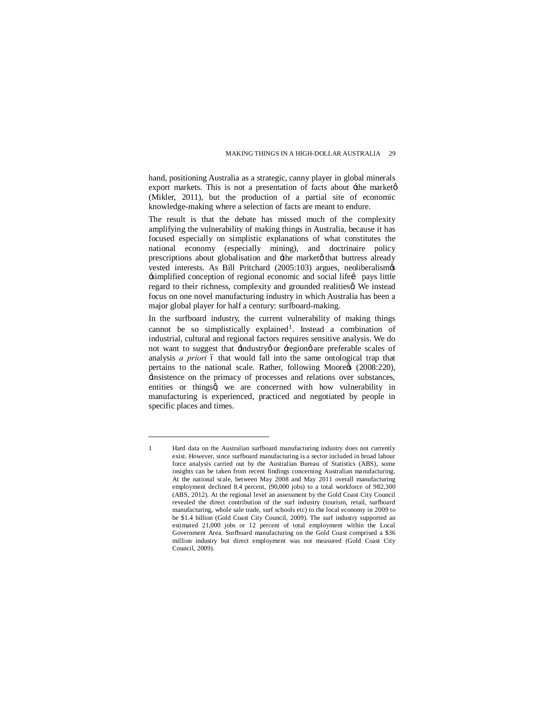hand, positioning Australia as a strategic, canny player in global minerals export markets. This is not a presentation of facts about  $\pm$ the market $\varphi$ (Mikler, 2011), but the production of a partial site of economic knowledge-making where a selection of facts are meant to endure.

The result is that the debate has missed much of the complexity amplifying the vulnerability of making things in Australia, because it has focused especially on simplistic explanations of what constitutes the national economy (especially mining), and doctrinaire policy prescriptions about globalisation and  $\pm$ he marketø that buttress already vested interests. As Bill Pritchard (2005:103) argues, neoliberalism's 'simplified conception of regional economic and social life… pays little regard to their richness, complexity and grounded realities a We instead focus on one novel manufacturing industry in which Australia has been a major global player for half a century: surfboard-making.

In the surfboard industry, the current vulnerability of making things cannot be so simplistically explained<sup>1</sup>. Instead a combination of industrial, cultural and regional factors requires sensitive analysis. We do not want to suggest that  $\div$ industryø or  $\div$ egionø are preferable scales of analysis *a priori* 6 that would fall into the same ontological trap that pertains to the national scale. Rather, following Moore¢s (2008:220), 'insistence on the primacy of processes and relations over substances, entities or thingsd we are concerned with how vulnerability in manufacturing is experienced, practiced and negotiated by people in specific places and times.

 $\overline{a}$ 

<sup>1</sup> Hard data on the Australian surfboard manufacturing industry does not currently exist. However, since surfboard manufacturing is a sector included in broad labour force analysis carried out by the Australian Bureau of Statistics (ABS), some insights can be taken from recent findings concerning Australian manufacturing. At the national scale, between May 2008 and May 2011 overall manufacturing employment declined 8.4 percent, (90,000 jobs) to a total workforce of 982,300 (ABS, 2012). At the regional level an assessment by the Gold Coast City Council revealed the direct contribution of the surf industry (tourism, retail, surfboard manufacturing, whole sale trade, surf schools etc) to the local economy in 2009 to be \$1.4 billion (Gold Coast City Council, 2009). The surf industry supported an estimated 21,000 jobs or 12 percent of total employment within the Local Government Area. Surfboard manufacturing on the Gold Coast comprised a \$36 million industry but direct employment was not measured (Gold Coast City Council, 2009).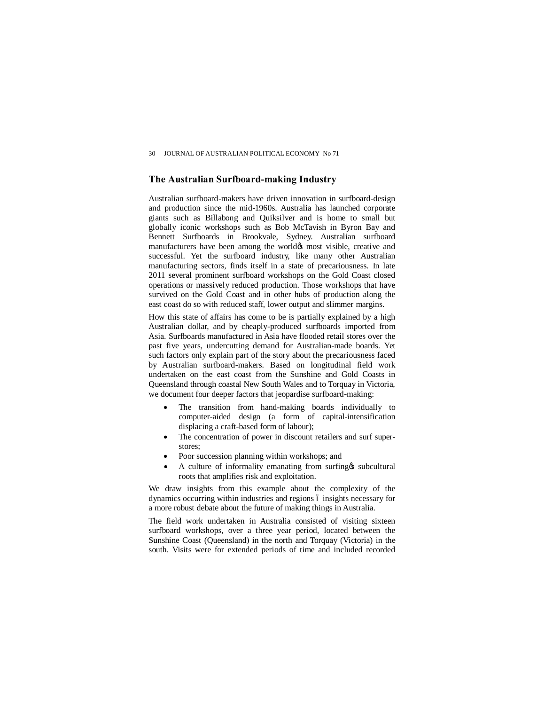# **The Australian Surfboard-making Industry**

Australian surfboard-makers have driven innovation in surfboard-design and production since the mid-1960s. Australia has launched corporate giants such as Billabong and Quiksilver and is home to small but globally iconic workshops such as Bob McTavish in Byron Bay and Bennett Surfboards in Brookvale, Sydney. Australian surfboard manufacturers have been among the worldøs most visible, creative and successful. Yet the surfboard industry, like many other Australian manufacturing sectors, finds itself in a state of precariousness. In late 2011 several prominent surfboard workshops on the Gold Coast closed operations or massively reduced production. Those workshops that have survived on the Gold Coast and in other hubs of production along the east coast do so with reduced staff, lower output and slimmer margins.

How this state of affairs has come to be is partially explained by a high Australian dollar, and by cheaply-produced surfboards imported from Asia. Surfboards manufactured in Asia have flooded retail stores over the past five years, undercutting demand for Australian-made boards. Yet such factors only explain part of the story about the precariousness faced by Australian surfboard-makers. Based on longitudinal field work undertaken on the east coast from the Sunshine and Gold Coasts in Queensland through coastal New South Wales and to Torquay in Victoria, we document four deeper factors that jeopardise surfboard-making:

- The transition from hand-making boards individually to computer-aided design (a form of capital-intensification displacing a craft-based form of labour);
- The concentration of power in discount retailers and surf superstores;
- Poor succession planning within workshops; and
- A culture of informality emanating from surfing  $\&$  subcultural roots that amplifies risk and exploitation.

We draw insights from this example about the complexity of the dynamics occurring within industries and regions 6 insights necessary for a more robust debate about the future of making things in Australia.

The field work undertaken in Australia consisted of visiting sixteen surfboard workshops, over a three year period, located between the Sunshine Coast (Queensland) in the north and Torquay (Victoria) in the south. Visits were for extended periods of time and included recorded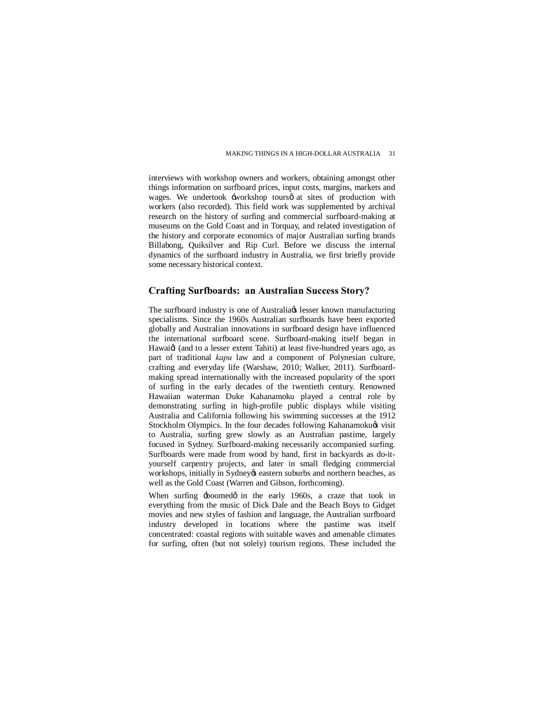interviews with workshop owners and workers, obtaining amongst other things information on surfboard prices, input costs, margins, markets and wages. We undertook -workshop toursø at sites of production with workers (also recorded). This field work was supplemented by archival research on the history of surfing and commercial surfboard-making at museums on the Gold Coast and in Torquay, and related investigation of the history and corporate economics of major Australian surfing brands Billabong, Quiksilver and Rip Curl. Before we discuss the internal dynamics of the surfboard industry in Australia, we first briefly provide some necessary historical context.

# **Crafting Surfboards: an Australian Success Story?**

The surfboard industry is one of Australia (s) lesser known manufacturing specialisms. Since the 1960s Australian surfboards have been exported globally and Australian innovations in surfboard design have influenced the international surfboard scene. Surfboard-making itself began in Hawaig (and to a lesser extent Tahiti) at least five-hundred years ago, as part of traditional *kapu* law and a component of Polynesian culture, crafting and everyday life (Warshaw, 2010; Walker, 2011). Surfboardmaking spread internationally with the increased popularity of the sport of surfing in the early decades of the twentieth century. Renowned Hawaiian waterman Duke Kahanamoku played a central role by demonstrating surfing in high-profile public displays while visiting Australia and California following his swimming successes at the 1912 Stockholm Olympics. In the four decades following Kahanamokuøs visit to Australia, surfing grew slowly as an Australian pastime, largely focused in Sydney. Surfboard-making necessarily accompanied surfing. Surfboards were made from wood by hand, first in backyards as do-ityourself carpentry projects, and later in small fledging commercial workshops, initially in Sydney $\alpha$  eastern suburbs and northern beaches, as well as the Gold Coast (Warren and Gibson, forthcoming).

When surfing  $\pm$ boomedø in the early 1960s, a craze that took in everything from the music of Dick Dale and the Beach Boys to Gidget movies and new styles of fashion and language, the Australian surfboard industry developed in locations where the pastime was itself concentrated: coastal regions with suitable waves and amenable climates for surfing, often (but not solely) tourism regions. These included the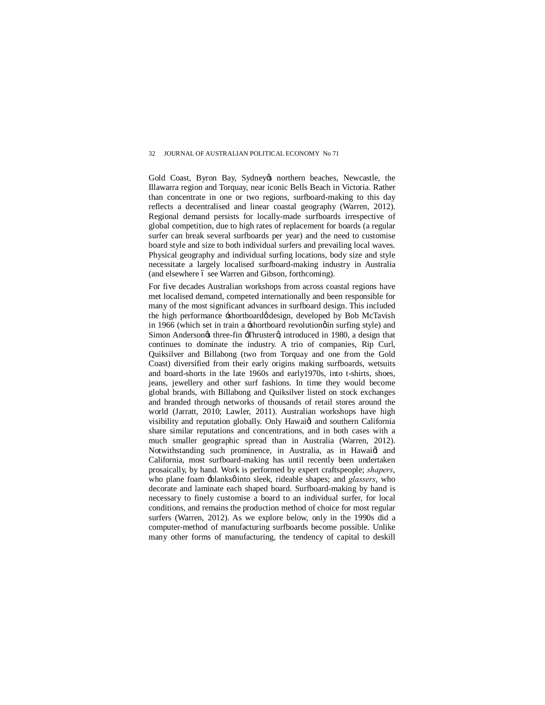Gold Coast, Byron Bay, Sydney tnorthern beaches, Newcastle, the Illawarra region and Torquay, near iconic Bells Beach in Victoria. Rather than concentrate in one or two regions, surfboard-making to this day reflects a decentralised and linear coastal geography (Warren, 2012). Regional demand persists for locally-made surfboards irrespective of global competition, due to high rates of replacement for boards (a regular surfer can break several surfboards per year) and the need to customise board style and size to both individual surfers and prevailing local waves. Physical geography and individual surfing locations, body size and style necessitate a largely localised surfboard-making industry in Australia  $($ and elsewhere  $\acute{o}$  see Warren and Gibson, forthcoming).

For five decades Australian workshops from across coastal regions have met localised demand, competed internationally and been responsible for many of the most significant advances in surfboard design. This included the high performance -shortboardø design, developed by Bob McTavish in 1966 (which set in train a  $\pm$ shortboard revolution $\phi$  in surfing style) and Simon Andersongs three-fin -Thrusterg, introduced in 1980, a design that continues to dominate the industry. A trio of companies, Rip Curl, Quiksilver and Billabong (two from Torquay and one from the Gold Coast) diversified from their early origins making surfboards, wetsuits and board-shorts in the late 1960s and early1970s, into t-shirts, shoes, jeans, jewellery and other surf fashions. In time they would become global brands, with Billabong and Quiksilver listed on stock exchanges and branded through networks of thousands of retail stores around the world (Jarratt, 2010; Lawler, 2011). Australian workshops have high visibility and reputation globally. Only Hawaid and southern California share similar reputations and concentrations, and in both cases with a much smaller geographic spread than in Australia (Warren, 2012). Notwithstanding such prominence, in Australia, as in Hawaigi and California, most surfboard-making has until recently been undertaken prosaically, by hand. Work is performed by expert craftspeople; *shapers*, who plane foam -blanksø into sleek, rideable shapes; and *glassers*, who decorate and laminate each shaped board. Surfboard-making by hand is necessary to finely customise a board to an individual surfer, for local conditions, and remains the production method of choice for most regular surfers (Warren, 2012). As we explore below, only in the 1990s did a computer-method of manufacturing surfboards become possible. Unlike many other forms of manufacturing, the tendency of capital to deskill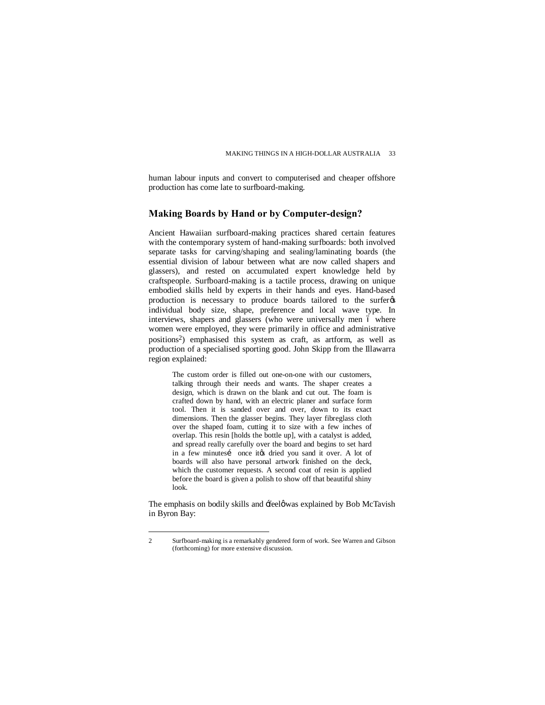human labour inputs and convert to computerised and cheaper offshore production has come late to surfboard-making.

## **Making Boards by Hand or by Computer-design?**

Ancient Hawaiian surfboard-making practices shared certain features with the contemporary system of hand-making surfboards: both involved separate tasks for carving/shaping and sealing/laminating boards (the essential division of labour between what are now called shapers and glassers), and rested on accumulated expert knowledge held by craftspeople. Surfboard-making is a tactile process, drawing on unique embodied skills held by experts in their hands and eyes. Hand-based production is necessary to produce boards tailored to the surfer  $\alpha$ individual body size, shape, preference and local wave type. In interviews, shapers and glassers (who were universally men 6 where women were employed, they were primarily in office and administrative positions2) emphasised this system as craft, as artform, as well as production of a specialised sporting good. John Skipp from the Illawarra region explained:

The custom order is filled out one-on-one with our customers, talking through their needs and wants. The shaper creates a design, which is drawn on the blank and cut out. The foam is crafted down by hand, with an electric planer and surface form tool. Then it is sanded over and over, down to its exact dimensions. Then the glasser begins. They layer fibreglass cloth over the shaped foam, cutting it to size with a few inches of overlap. This resin [holds the bottle up], with a catalyst is added, and spread really carefully over the board and begins to set hard in a few minutesi once ites dried you sand it over. A lot of boards will also have personal artwork finished on the deck, which the customer requests. A second coat of resin is applied before the board is given a polish to show off that beautiful shiny look.

The emphasis on bodily skills and : feel owas explained by Bob McTavish in Byron Bay:

 <sup>2</sup> Surfboard-making is a remarkably gendered form of work. See Warren and Gibson (forthcoming) for more extensive discussion.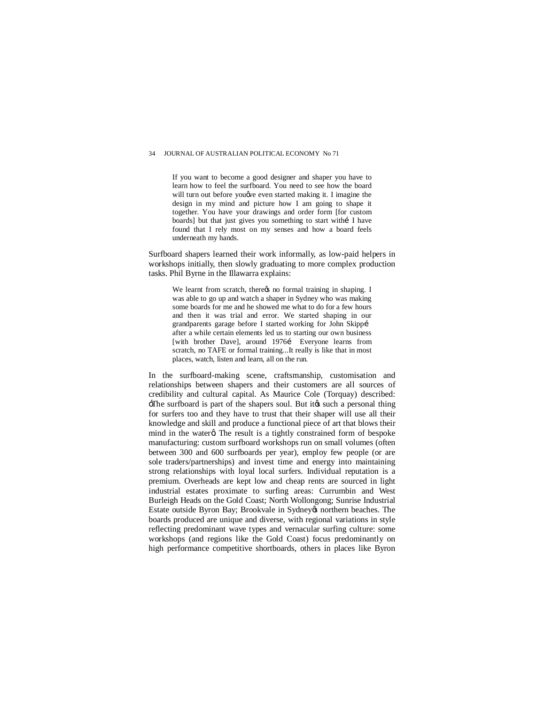If you want to become a good designer and shaper you have to learn how to feel the surfboard. You need to see how the board will turn out before you we even started making it. I imagine the design in my mind and picture how I am going to shape it together. You have your drawings and order form [for custom boards] but that just gives you something to start withi I have found that I rely most on my senses and how a board feels underneath my hands.

Surfboard shapers learned their work informally, as low-paid helpers in workshops initially, then slowly graduating to more complex production tasks. Phil Byrne in the Illawarra explains:

We learnt from scratch, there ts no formal training in shaping. I was able to go up and watch a shaper in Sydney who was making some boards for me and he showed me what to do for a few hours and then it was trial and error. We started shaping in our grandparents garage before I started working for John Skippí after a while certain elements led us to starting our own business [with brother Dave], around 1976í Everyone learns from scratch, no TAFE or formal training...It really is like that in most places, watch, listen and learn, all on the run.

In the surfboard-making scene, craftsmanship, customisation and relationships between shapers and their customers are all sources of credibility and cultural capital. As Maurice Cole (Torquay) described:  $\pm$ The surfboard is part of the shapers soul. But it to such a personal thing for surfers too and they have to trust that their shaper will use all their knowledge and skill and produce a functional piece of art that blows their mind in the water a The result is a tightly constrained form of bespoke manufacturing: custom surfboard workshops run on small volumes (often between 300 and 600 surfboards per year), employ few people (or are sole traders/partnerships) and invest time and energy into maintaining strong relationships with loyal local surfers. Individual reputation is a premium. Overheads are kept low and cheap rents are sourced in light industrial estates proximate to surfing areas: Currumbin and West Burleigh Heads on the Gold Coast; North Wollongong; Sunrise Industrial Estate outside Byron Bay; Brookvale in Sydney & northern beaches. The boards produced are unique and diverse, with regional variations in style reflecting predominant wave types and vernacular surfing culture: some workshops (and regions like the Gold Coast) focus predominantly on high performance competitive shortboards, others in places like Byron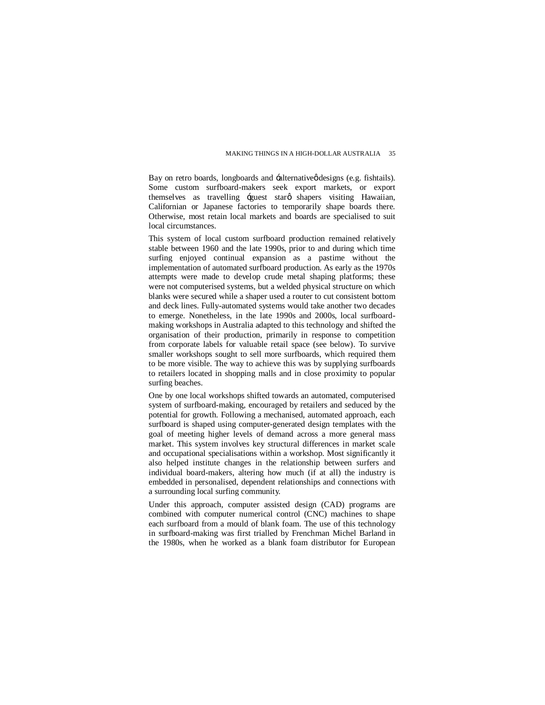Bay on retro boards, longboards and -alternative *ø*designs (e.g. fishtails). Some custom surfboard-makers seek export markets, or export themselves as travelling -guest starø shapers visiting Hawaiian, Californian or Japanese factories to temporarily shape boards there. Otherwise, most retain local markets and boards are specialised to suit local circumstances.

This system of local custom surfboard production remained relatively stable between 1960 and the late 1990s, prior to and during which time surfing enjoyed continual expansion as a pastime without the implementation of automated surfboard production. As early as the 1970s attempts were made to develop crude metal shaping platforms; these were not computerised systems, but a welded physical structure on which blanks were secured while a shaper used a router to cut consistent bottom and deck lines. Fully-automated systems would take another two decades to emerge. Nonetheless, in the late 1990s and 2000s, local surfboardmaking workshops in Australia adapted to this technology and shifted the organisation of their production, primarily in response to competition from corporate labels for valuable retail space (see below). To survive smaller workshops sought to sell more surfboards, which required them to be more visible. The way to achieve this was by supplying surfboards to retailers located in shopping malls and in close proximity to popular surfing beaches.

One by one local workshops shifted towards an automated, computerised system of surfboard-making, encouraged by retailers and seduced by the potential for growth. Following a mechanised, automated approach, each surfboard is shaped using computer-generated design templates with the goal of meeting higher levels of demand across a more general mass market. This system involves key structural differences in market scale and occupational specialisations within a workshop. Most significantly it also helped institute changes in the relationship between surfers and individual board-makers, altering how much (if at all) the industry is embedded in personalised, dependent relationships and connections with a surrounding local surfing community.

Under this approach, computer assisted design (CAD) programs are combined with computer numerical control (CNC) machines to shape each surfboard from a mould of blank foam. The use of this technology in surfboard-making was first trialled by Frenchman Michel Barland in the 1980s, when he worked as a blank foam distributor for European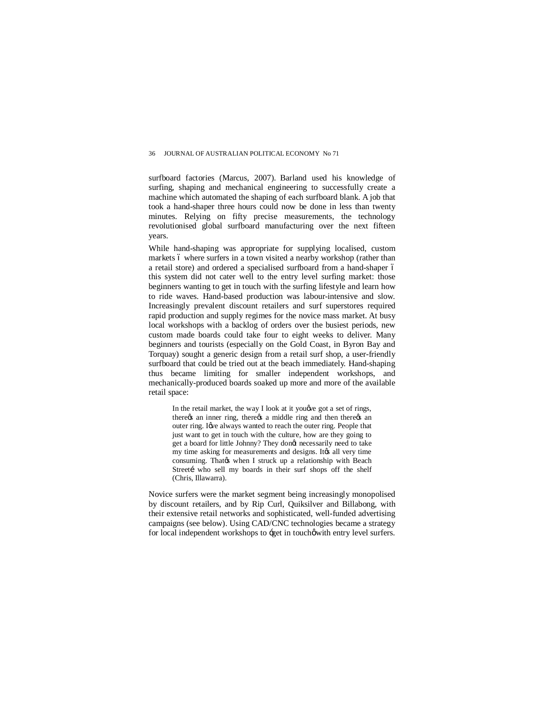surfboard factories (Marcus, 2007). Barland used his knowledge of surfing, shaping and mechanical engineering to successfully create a machine which automated the shaping of each surfboard blank. A job that took a hand-shaper three hours could now be done in less than twenty minutes. Relying on fifty precise measurements, the technology revolutionised global surfboard manufacturing over the next fifteen years.

While hand-shaping was appropriate for supplying localised, custom markets 6 where surfers in a town visited a nearby workshop (rather than a retail store) and ordered a specialised surfboard from a hand-shaper  $6$ this system did not cater well to the entry level surfing market: those beginners wanting to get in touch with the surfing lifestyle and learn how to ride waves. Hand-based production was labour-intensive and slow. Increasingly prevalent discount retailers and surf superstores required rapid production and supply regimes for the novice mass market. At busy local workshops with a backlog of orders over the busiest periods, new custom made boards could take four to eight weeks to deliver. Many beginners and tourists (especially on the Gold Coast, in Byron Bay and Torquay) sought a generic design from a retail surf shop, a user-friendly surfboard that could be tried out at the beach immediately. Hand-shaping thus became limiting for smaller independent workshops, and mechanically-produced boards soaked up more and more of the available retail space:

In the retail market, the way I look at it you  $\phi$  got a set of rings, there *is* an inner ring, there *is* a middle ring and then there *is* an outer ring. I we always wanted to reach the outer ring. People that just want to get in touch with the culture, how are they going to get a board for little Johnny? They dongt necessarily need to take my time asking for measurements and designs. It is all very time consuming. That when I struck up a relationship with Beach Streetí who sell my boards in their surf shops off the shelf (Chris, Illawarra).

Novice surfers were the market segment being increasingly monopolised by discount retailers, and by Rip Curl, Quiksilver and Billabong, with their extensive retail networks and sophisticated, well-funded advertising campaigns (see below). Using CAD/CNC technologies became a strategy for local independent workshops to -get in touchowith entry level surfers.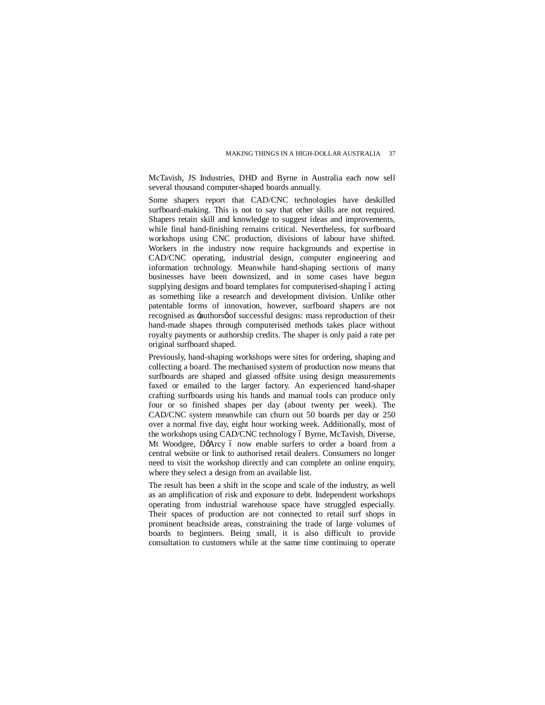McTavish, JS Industries, DHD and Byrne in Australia each now sell several thousand computer-shaped boards annually.

Some shapers report that CAD/CNC technologies have deskilled surfboard-making. This is not to say that other skills are not required. Shapers retain skill and knowledge to suggest ideas and improvements, while final hand-finishing remains critical. Nevertheless, for surfboard workshops using CNC production, divisions of labour have shifted. Workers in the industry now require backgrounds and expertise in CAD/CNC operating, industrial design, computer engineering and information technology. Meanwhile hand-shaping sections of many businesses have been downsized, and in some cases have begun supplying designs and board templates for computerised-shaping 6 acting as something like a research and development division. Unlike other patentable forms of innovation, however, surfboard shapers are not recognised as -authors of successful designs: mass reproduction of their hand-made shapes through computerised methods takes place without royalty payments or authorship credits. The shaper is only paid a rate per original surfboard shaped.

Previously, hand-shaping workshops were sites for ordering, shaping and collecting a board. The mechanised system of production now means that surfboards are shaped and glassed offsite using design measurements faxed or emailed to the larger factory. An experienced hand-shaper crafting surfboards using his hands and manual tools can produce only four or so finished shapes per day (about twenty per week). The CAD/CNC system meanwhile can churn out 50 boards per day or 250 over a normal five day, eight hour working week. Additionally, most of the workshops using CAD/CNC technology ó Byrne, McTavish, Diverse, Mt Woodgee, DøArcy ó now enable surfers to order a board from a central website or link to authorised retail dealers. Consumers no longer need to visit the workshop directly and can complete an online enquiry, where they select a design from an available list.

The result has been a shift in the scope and scale of the industry, as well as an amplification of risk and exposure to debt. Independent workshops operating from industrial warehouse space have struggled especially. Their spaces of production are not connected to retail surf shops in prominent beachside areas, constraining the trade of large volumes of boards to beginners. Being small, it is also difficult to provide consultation to customers while at the same time continuing to operate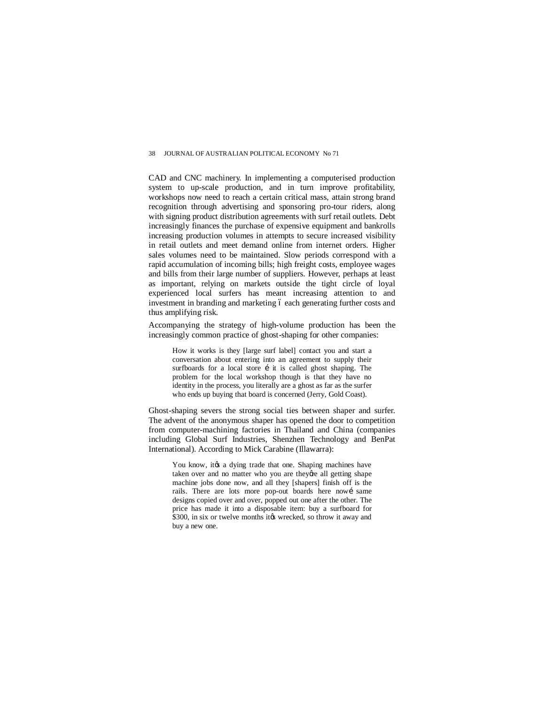CAD and CNC machinery. In implementing a computerised production system to up-scale production, and in turn improve profitability, workshops now need to reach a certain critical mass, attain strong brand recognition through advertising and sponsoring pro-tour riders, along with signing product distribution agreements with surf retail outlets. Debt increasingly finances the purchase of expensive equipment and bankrolls increasing production volumes in attempts to secure increased visibility in retail outlets and meet demand online from internet orders. Higher sales volumes need to be maintained. Slow periods correspond with a rapid accumulation of incoming bills; high freight costs, employee wages and bills from their large number of suppliers. However, perhaps at least as important, relying on markets outside the tight circle of loyal experienced local surfers has meant increasing attention to and investment in branding and marketing 6 each generating further costs and thus amplifying risk.

Accompanying the strategy of high-volume production has been the increasingly common practice of ghost-shaping for other companies:

How it works is they [large surf label] contact you and start a conversation about entering into an agreement to supply their surfboards for a local store i it is called ghost shaping. The problem for the local workshop though is that they have no identity in the process, you literally are a ghost as far as the surfer who ends up buying that board is concerned (Jerry, Gold Coast).

Ghost-shaping severs the strong social ties between shaper and surfer. The advent of the anonymous shaper has opened the door to competition from computer-machining factories in Thailand and China (companies including Global Surf Industries, Shenzhen Technology and BenPat International). According to Mick Carabine (Illawarra):

You know, it a dying trade that one. Shaping machines have taken over and no matter who you are they're all getting shape machine jobs done now, and all they [shapers] finish off is the rails. There are lots more pop-out boards here nowí same designs copied over and over, popped out one after the other. The price has made it into a disposable item: buy a surfboard for \$300, in six or twelve months it tweeked, so throw it away and buy a new one.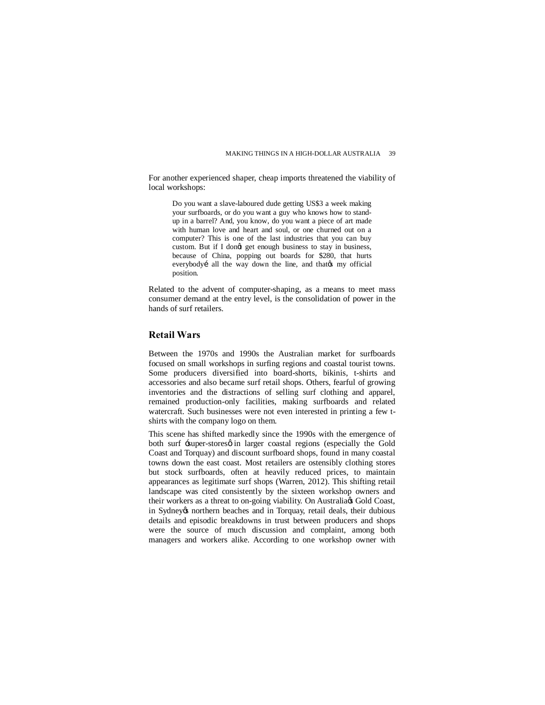For another experienced shaper, cheap imports threatened the viability of local workshops:

Do you want a slave-laboured dude getting US\$3 a week making your surfboards, or do you want a guy who knows how to standup in a barrel? And, you know, do you want a piece of art made with human love and heart and soul, or one churned out on a computer? This is one of the last industries that you can buy custom. But if I dongt get enough business to stay in business, because of China, popping out boards for \$280, that hurts everybodyí all the way down the line, and thates my official position.

Related to the advent of computer-shaping, as a means to meet mass consumer demand at the entry level, is the consolidation of power in the hands of surf retailers.

# **Retail Wars**

Between the 1970s and 1990s the Australian market for surfboards focused on small workshops in surfing regions and coastal tourist towns. Some producers diversified into board-shorts, bikinis, t-shirts and accessories and also became surf retail shops. Others, fearful of growing inventories and the distractions of selling surf clothing and apparel, remained production-only facilities, making surfboards and related watercraft. Such businesses were not even interested in printing a few tshirts with the company logo on them.

This scene has shifted markedly since the 1990s with the emergence of both surf -super-storesø in larger coastal regions (especially the Gold Coast and Torquay) and discount surfboard shops, found in many coastal towns down the east coast. Most retailers are ostensibly clothing stores but stock surfboards, often at heavily reduced prices, to maintain appearances as legitimate surf shops (Warren, 2012). This shifting retail landscape was cited consistently by the sixteen workshop owners and their workers as a threat to on-going viability. On Australia & Gold Coast, in Sydney to northern beaches and in Torquay, retail deals, their dubious details and episodic breakdowns in trust between producers and shops were the source of much discussion and complaint, among both managers and workers alike. According to one workshop owner with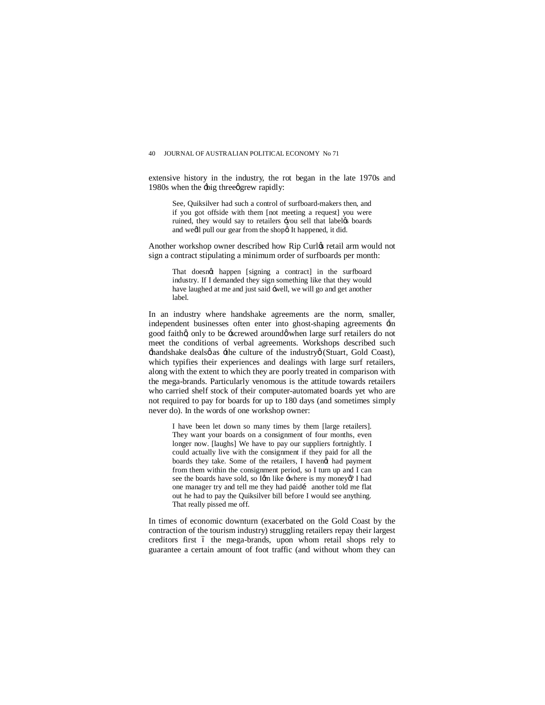extensive history in the industry, the rot began in the late 1970s and 1980s when the  $\div$ big three grew rapidly:

See, Quiksilver had such a control of surfboard-makers then, and if you got offside with them [not meeting a request] you were ruined, they would say to retailers -you sell that labeles boards and wedl pull our gear from the shopa It happened, it did.

Another workshop owner described how Rip Curlø retail arm would not sign a contract stipulating a minimum order of surfboards per month:

That doesnot happen [signing a contract] in the surfboard industry. If I demanded they sign something like that they would have laughed at me and just said -well, we will go and get another label.

In an industry where handshake agreements are the norm, smaller, independent businesses often enter into ghost-shaping agreements  $\exists$ n good faithg only to be -screwed around when large surf retailers do not meet the conditions of verbal agreements. Workshops described such  $\pm$ handshake dealsø as  $\pm$ he culture of the industryø (Stuart, Gold Coast), which typifies their experiences and dealings with large surf retailers, along with the extent to which they are poorly treated in comparison with the mega-brands. Particularly venomous is the attitude towards retailers who carried shelf stock of their computer-automated boards yet who are not required to pay for boards for up to 180 days (and sometimes simply never do). In the words of one workshop owner:

I have been let down so many times by them [large retailers]. They want your boards on a consignment of four months, even longer now. [laughs] We have to pay our suppliers fortnightly. I could actually live with the consignment if they paid for all the boards they take. Some of the retailers, I havend had payment from them within the consignment period, so I turn up and I can see the boards have sold, so Igm like -where is my moneyo? I had one manager try and tell me they had paid… another told me flat out he had to pay the Quiksilver bill before I would see anything. That really pissed me off.

In times of economic downturn (exacerbated on the Gold Coast by the contraction of the tourism industry) struggling retailers repay their largest creditors first 6 the mega-brands, upon whom retail shops rely to guarantee a certain amount of foot traffic (and without whom they can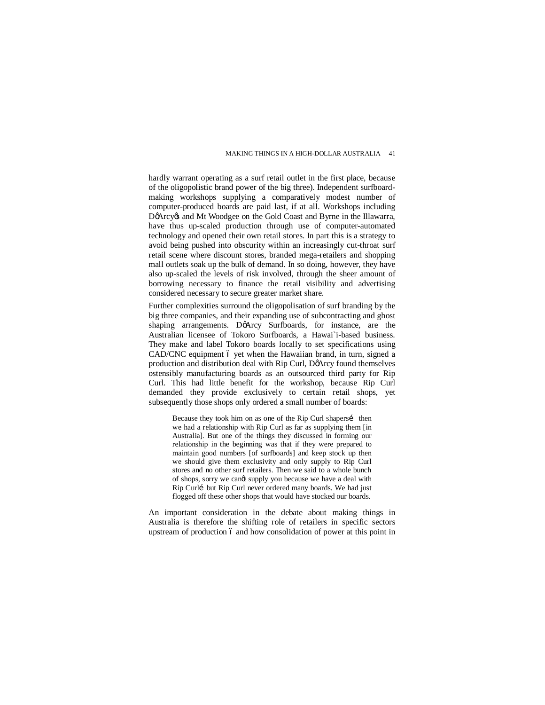hardly warrant operating as a surf retail outlet in the first place, because of the oligopolistic brand power of the big three). Independent surfboardmaking workshops supplying a comparatively modest number of computer-produced boards are paid last, if at all. Workshops including DøArcy & and Mt Woodgee on the Gold Coast and Byrne in the Illawarra, have thus up-scaled production through use of computer-automated technology and opened their own retail stores. In part this is a strategy to avoid being pushed into obscurity within an increasingly cut-throat surf retail scene where discount stores, branded mega-retailers and shopping mall outlets soak up the bulk of demand. In so doing, however, they have also up-scaled the levels of risk involved, through the sheer amount of borrowing necessary to finance the retail visibility and advertising considered necessary to secure greater market share.

Further complexities surround the oligopolisation of surf branding by the big three companies, and their expanding use of subcontracting and ghost shaping arrangements. DøArcy Surfboards, for instance, are the Australian licensee of Tokoro Surfboards, a Hawai`i-based business. They make and label Tokoro boards locally to set specifications using CAD/CNC equipment 6 yet when the Hawaiian brand, in turn, signed a production and distribution deal with Rip Curl, DøArcy found themselves ostensibly manufacturing boards as an outsourced third party for Rip Curl. This had little benefit for the workshop, because Rip Curl demanded they provide exclusively to certain retail shops, yet subsequently those shops only ordered a small number of boards:

Because they took him on as one of the Rip Curl shapersi then we had a relationship with Rip Curl as far as supplying them [in Australia]. But one of the things they discussed in forming our relationship in the beginning was that if they were prepared to maintain good numbers [of surfboards] and keep stock up then we should give them exclusivity and only supply to Rip Curl stores and no other surf retailers. Then we said to a whole bunch of shops, sorry we cangt supply you because we have a deal with Rip Curlí but Rip Curl never ordered many boards. We had just flogged off these other shops that would have stocked our boards.

An important consideration in the debate about making things in Australia is therefore the shifting role of retailers in specific sectors upstream of production 6 and how consolidation of power at this point in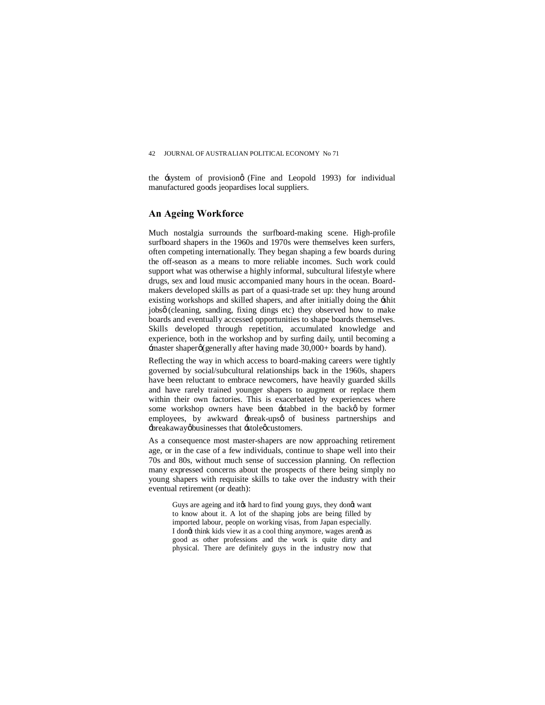the system of provision (Fine and Leopold 1993) for individual manufactured goods jeopardises local suppliers.

### **An Ageing Workforce**

Much nostalgia surrounds the surfboard-making scene. High-profile surfboard shapers in the 1960s and 1970s were themselves keen surfers, often competing internationally. They began shaping a few boards during the off-season as a means to more reliable incomes. Such work could support what was otherwise a highly informal, subcultural lifestyle where drugs, sex and loud music accompanied many hours in the ocean. Boardmakers developed skills as part of a quasi-trade set up: they hung around existing workshops and skilled shapers, and after initially doing the 'shit jobsø (cleaning, sanding, fixing dings etc) they observed how to make boards and eventually accessed opportunities to shape boards themselves. Skills developed through repetition, accumulated knowledge and experience, both in the workshop and by surfing daily, until becoming a  $-master shape of (generally after having made 30,000+ boards by hand).$ 

Reflecting the way in which access to board-making careers were tightly governed by social/subcultural relationships back in the 1960s, shapers have been reluctant to embrace newcomers, have heavily guarded skills and have rarely trained younger shapers to augment or replace them within their own factories. This is exacerbated by experiences where some workshop owners have been -stabbed in the back oby former employees, by awkward  $\frac{1}{2}$  break-ups  $\phi$  of business partnerships and :breakawayøbusinesses that :stole ocustomers.

As a consequence most master-shapers are now approaching retirement age, or in the case of a few individuals, continue to shape well into their 70s and 80s, without much sense of succession planning. On reflection many expressed concerns about the prospects of there being simply no young shapers with requisite skills to take over the industry with their eventual retirement (or death):

Guys are ageing and ites hard to find young guys, they donet want to know about it. A lot of the shaping jobs are being filled by imported labour, people on working visas, from Japan especially. I dongt think kids view it as a cool thing anymore, wages arengt as good as other professions and the work is quite dirty and physical. There are definitely guys in the industry now that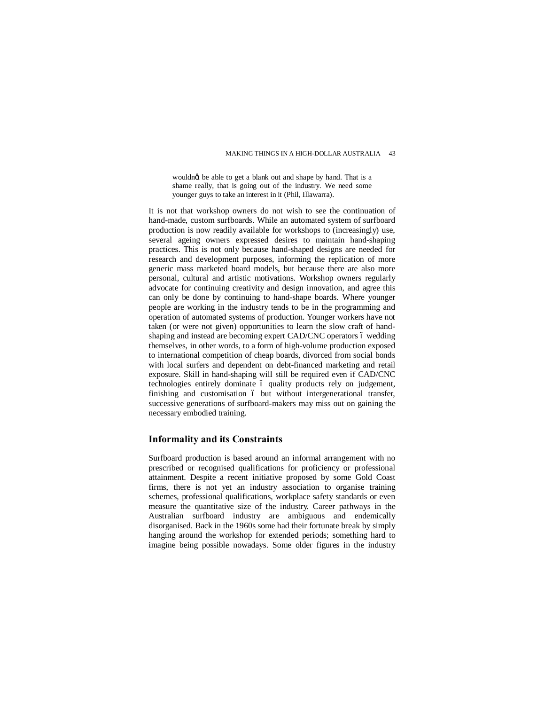wouldngt be able to get a blank out and shape by hand. That is a shame really, that is going out of the industry. We need some younger guys to take an interest in it (Phil, Illawarra).

It is not that workshop owners do not wish to see the continuation of hand-made, custom surfboards. While an automated system of surfboard production is now readily available for workshops to (increasingly) use, several ageing owners expressed desires to maintain hand-shaping practices. This is not only because hand-shaped designs are needed for research and development purposes, informing the replication of more generic mass marketed board models, but because there are also more personal, cultural and artistic motivations. Workshop owners regularly advocate for continuing creativity and design innovation, and agree this can only be done by continuing to hand-shape boards. Where younger people are working in the industry tends to be in the programming and operation of automated systems of production. Younger workers have not taken (or were not given) opportunities to learn the slow craft of handshaping and instead are becoming expert CAD/CNC operators 6 wedding themselves, in other words, to a form of high-volume production exposed to international competition of cheap boards, divorced from social bonds with local surfers and dependent on debt-financed marketing and retail exposure. Skill in hand-shaping will still be required even if CAD/CNC technologies entirely dominate 6 quality products rely on judgement, finishing and customisation 6 but without intergenerational transfer, successive generations of surfboard-makers may miss out on gaining the necessary embodied training.

## **Informality and its Constraints**

Surfboard production is based around an informal arrangement with no prescribed or recognised qualifications for proficiency or professional attainment. Despite a recent initiative proposed by some Gold Coast firms, there is not yet an industry association to organise training schemes, professional qualifications, workplace safety standards or even measure the quantitative size of the industry. Career pathways in the Australian surfboard industry are ambiguous and endemically disorganised. Back in the 1960s some had their fortunate break by simply hanging around the workshop for extended periods; something hard to imagine being possible nowadays. Some older figures in the industry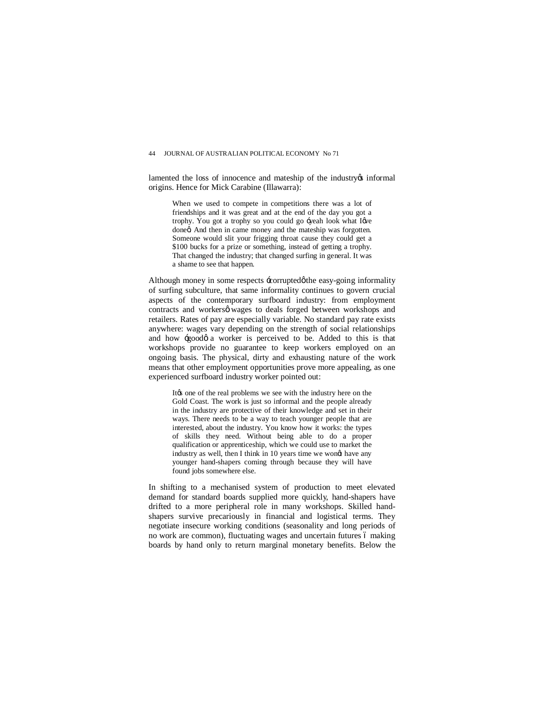lamented the loss of innocence and mateship of the industry os informal origins. Hence for Mick Carabine (Illawarra):

When we used to compete in competitions there was a lot of friendships and it was great and at the end of the day you got a trophy. You got a trophy so you could go -yeah look what I we doneg And then in came money and the mateship was forgotten. Someone would slit your frigging throat cause they could get a \$100 bucks for a prize or something, instead of getting a trophy. That changed the industry; that changed surfing in general. It was a shame to see that happen.

Although money in some respects  $\pm$ orruptedøthe easy-going informality of surfing subculture, that same informality continues to govern crucial aspects of the contemporary surfboard industry: from employment contracts and workersø wages to deals forged between workshops and retailers. Rates of pay are especially variable. No standard pay rate exists anywhere: wages vary depending on the strength of social relationships and how  $\div$ good $\phi$  a worker is perceived to be. Added to this is that workshops provide no guarantee to keep workers employed on an ongoing basis. The physical, dirty and exhausting nature of the work means that other employment opportunities prove more appealing, as one experienced surfboard industry worker pointed out:

It the one of the real problems we see with the industry here on the Gold Coast. The work is just so informal and the people already in the industry are protective of their knowledge and set in their ways. There needs to be a way to teach younger people that are interested, about the industry. You know how it works: the types of skills they need. Without being able to do a proper qualification or apprenticeship, which we could use to market the industry as well, then I think in 10 years time we wongt have any younger hand-shapers coming through because they will have found jobs somewhere else.

In shifting to a mechanised system of production to meet elevated demand for standard boards supplied more quickly, hand-shapers have drifted to a more peripheral role in many workshops. Skilled handshapers survive precariously in financial and logistical terms. They negotiate insecure working conditions (seasonality and long periods of no work are common), fluctuating wages and uncertain futures 6 making boards by hand only to return marginal monetary benefits. Below the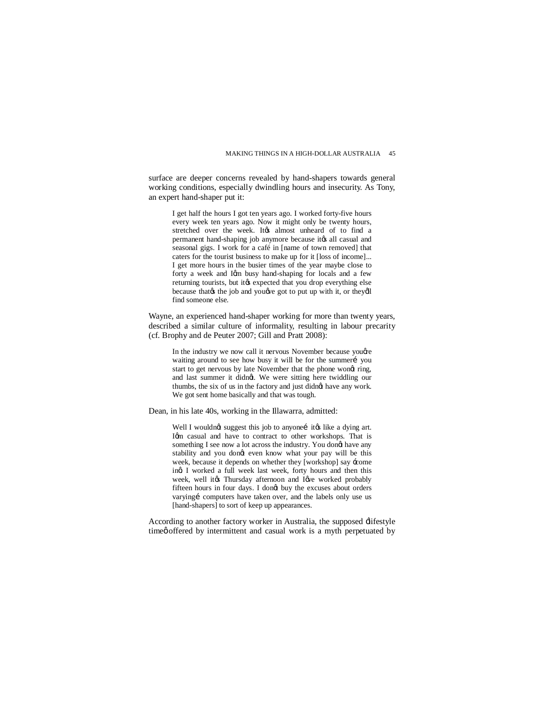surface are deeper concerns revealed by hand-shapers towards general working conditions, especially dwindling hours and insecurity. As Tony, an expert hand-shaper put it:

I get half the hours I got ten years ago. I worked forty-five hours every week ten years ago. Now it might only be twenty hours, stretched over the week. Itgs almost unheard of to find a permanent hand-shaping job anymore because its all casual and seasonal gigs. I work for a café in [name of town removed] that caters for the tourist business to make up for it [loss of income]... I get more hours in the busier times of the year maybe close to forty a week and Igm busy hand-shaping for locals and a few returning tourists, but its expected that you drop everything else because that the job and you we got to put up with it, or they'll find someone else.

Wayne, an experienced hand-shaper working for more than twenty years, described a similar culture of informality, resulting in labour precarity (cf. Brophy and de Peuter 2007; Gill and Pratt 2008):

In the industry we now call it nervous November because you gre waiting around to see how busy it will be for the summeri vou start to get nervous by late November that the phone wong ring, and last summer it didnet. We were sitting here twiddling our thumbs, the six of us in the factory and just didnet have any work. We got sent home basically and that was tough.

Dean, in his late 40s, working in the Illawarra, admitted:

Well I wouldngt suggest this job to anyonei itgs like a dying art. Igm casual and have to contract to other workshops. That is something I see now a lot across the industry. You dongt have any stability and you dongt even know what your pay will be this week, because it depends on whether they [workshop] say 'come ing I worked a full week last week, forty hours and then this week, well it the Thursday afternoon and I give worked probably fifteen hours in four days. I dongt buy the excuses about orders varyingi computers have taken over, and the labels only use us [hand-shapers] to sort of keep up appearances.

According to another factory worker in Australia, the supposed  $\pm$  ifestyle time offered by intermittent and casual work is a myth perpetuated by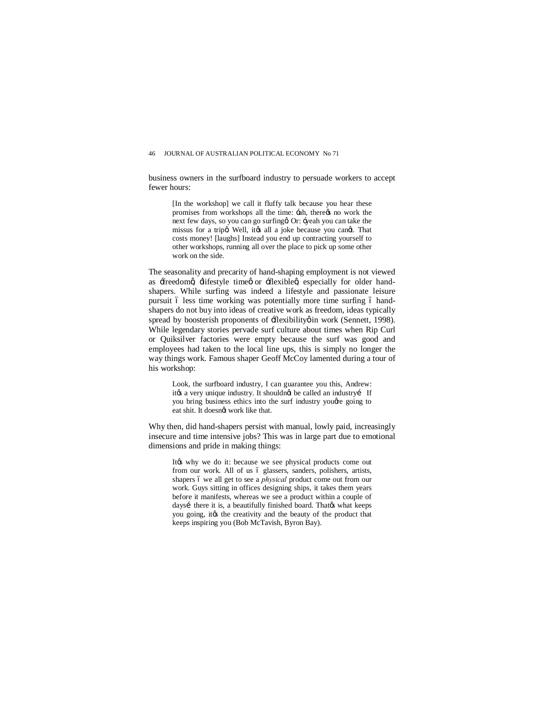business owners in the surfboard industry to persuade workers to accept fewer hours:

[In the workshop] we call it fluffy talk because you hear these promises from workshops all the time:  $\exists$ ah, thereos no work the next few days, so you can go surfing tOr: - yeah you can take the missus for a trip $\alpha$  Well, it $\alpha$  all a joke because you cand. That costs money! [laughs] Instead you end up contracting yourself to other workshops, running all over the place to pick up some other work on the side.

The seasonality and precarity of hand-shaping employment is not viewed as freedomg lifestyle time or flexible  $\alpha$  especially for older handshapers. While surfing was indeed a lifestyle and passionate leisure pursuit ó less time working was potentially more time surfing ó handshapers do not buy into ideas of creative work as freedom, ideas typically spread by boosterish proponents of  $\pm$ lexibility in work (Sennett, 1998). While legendary stories pervade surf culture about times when Rip Curl or Quiksilver factories were empty because the surf was good and employees had taken to the local line ups, this is simply no longer the way things work. Famous shaper Geoff McCoy lamented during a tour of his workshop:

Look, the surfboard industry, I can guarantee you this, Andrew: it $\alpha$  a very unique industry. It shouldnet be called an industryí If you bring business ethics into the surf industry you e going to eat shit. It doesngt work like that.

Why then, did hand-shapers persist with manual, lowly paid, increasingly insecure and time intensive jobs? This was in large part due to emotional dimensions and pride in making things:

Itøs why we do it: because we see physical products come out from our work. All of us ó glassers, sanders, polishers, artists, shapers 6 we all get to see a *physical* product come out from our work. Guys sitting in offices designing ships, it takes them years before it manifests, whereas we see a product within a couple of daysí there it is, a beautifully finished board. Thatgs what keeps you going, it ts the creativity and the beauty of the product that keeps inspiring you (Bob McTavish, Byron Bay).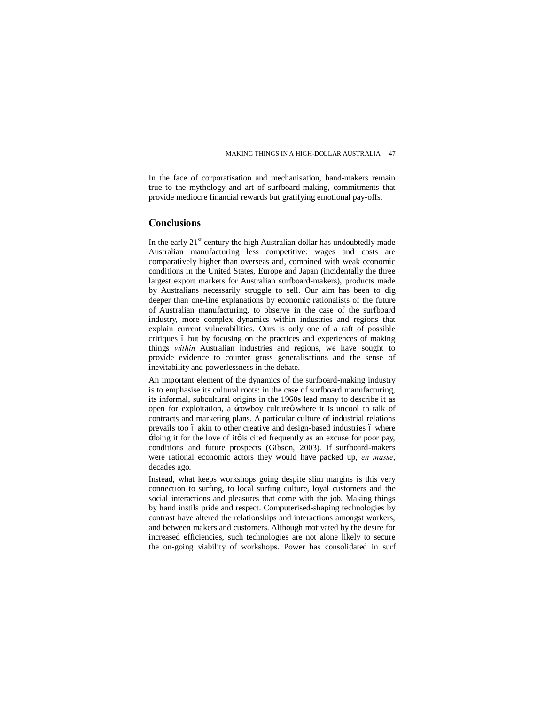In the face of corporatisation and mechanisation, hand-makers remain true to the mythology and art of surfboard-making, commitments that provide mediocre financial rewards but gratifying emotional pay-offs.

## **Conclusions**

In the early  $21<sup>st</sup>$  century the high Australian dollar has undoubtedly made Australian manufacturing less competitive: wages and costs are comparatively higher than overseas and, combined with weak economic conditions in the United States, Europe and Japan (incidentally the three largest export markets for Australian surfboard-makers), products made by Australians necessarily struggle to sell. Our aim has been to dig deeper than one-line explanations by economic rationalists of the future of Australian manufacturing, to observe in the case of the surfboard industry, more complex dynamics within industries and regions that explain current vulnerabilities. Ours is only one of a raft of possible critiques 6 but by focusing on the practices and experiences of making things *within* Australian industries and regions, we have sought to provide evidence to counter gross generalisations and the sense of inevitability and powerlessness in the debate.

An important element of the dynamics of the surfboard-making industry is to emphasise its cultural roots: in the case of surfboard manufacturing, its informal, subcultural origins in the 1960s lead many to describe it as open for exploitation, a -cowboy culture where it is uncool to talk of contracts and marketing plans. A particular culture of industrial relations prevails too 6 akin to other creative and design-based industries 6 where  $-doing$  it for the love of it is cited frequently as an excuse for poor pay, conditions and future prospects (Gibson, 2003). If surfboard-makers were rational economic actors they would have packed up, *en masse*, decades ago.

Instead, what keeps workshops going despite slim margins is this very connection to surfing, to local surfing culture, loyal customers and the social interactions and pleasures that come with the job. Making things by hand instils pride and respect. Computerised-shaping technologies by contrast have altered the relationships and interactions amongst workers, and between makers and customers. Although motivated by the desire for increased efficiencies, such technologies are not alone likely to secure the on-going viability of workshops. Power has consolidated in surf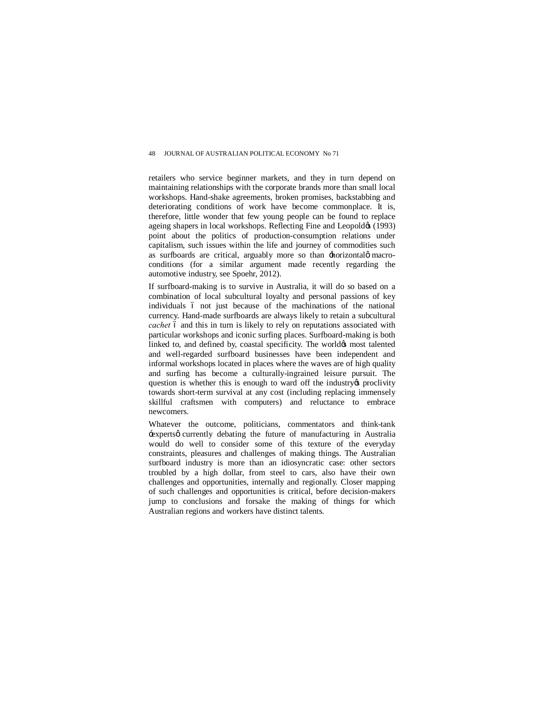retailers who service beginner markets, and they in turn depend on maintaining relationships with the corporate brands more than small local workshops. Hand-shake agreements, broken promises, backstabbing and deteriorating conditions of work have become commonplace. It is, therefore, little wonder that few young people can be found to replace ageing shapers in local workshops. Reflecting Fine and Leopoldø (1993) point about the politics of production-consumption relations under capitalism, such issues within the life and journey of commodities such as surfboards are critical, arguably more so than  $\pm$  horizontal $\phi$  macroconditions (for a similar argument made recently regarding the automotive industry, see Spoehr, 2012).

If surfboard-making is to survive in Australia, it will do so based on a combination of local subcultural loyalty and personal passions of key individuals 6 not just because of the machinations of the national currency. Hand-made surfboards are always likely to retain a subcultural *cachet* 6 and this in turn is likely to rely on reputations associated with particular workshops and iconic surfing places. Surfboard-making is both linked to, and defined by, coastal specificity. The world $\alpha$  most talented and well-regarded surfboard businesses have been independent and informal workshops located in places where the waves are of high quality and surfing has become a culturally-ingrained leisure pursuit. The question is whether this is enough to ward off the industry opproclivity towards short-term survival at any cost (including replacing immensely skillful craftsmen with computers) and reluctance to embrace newcomers.

Whatever the outcome, politicians, commentators and think-tank -experts q currently debating the future of manufacturing in Australia would do well to consider some of this texture of the everyday constraints, pleasures and challenges of making things. The Australian surfboard industry is more than an idiosyncratic case: other sectors troubled by a high dollar, from steel to cars, also have their own challenges and opportunities, internally and regionally. Closer mapping of such challenges and opportunities is critical, before decision-makers jump to conclusions and forsake the making of things for which Australian regions and workers have distinct talents.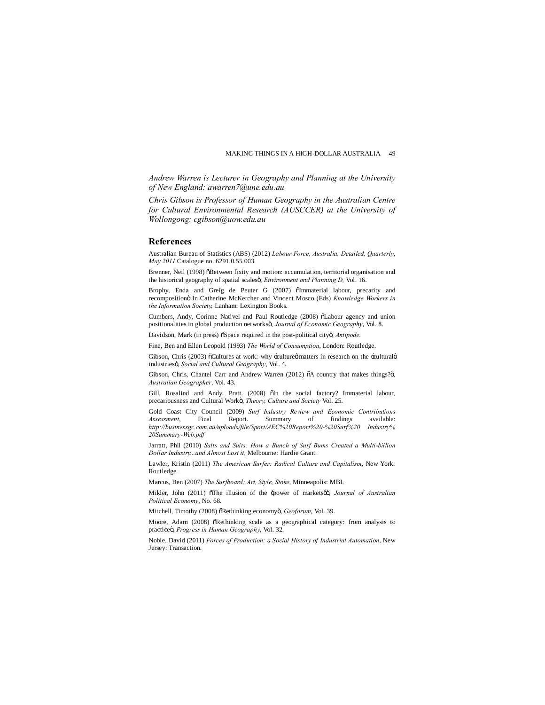*Andrew Warren is Lecturer in Geography and Planning at the University of New England: awarren7@une.edu.au*

*Chris Gibson [is Professor of Human Ge](https://webmail.sydney.edu.au/owa/redir.aspx?C=eKrcRrUxGkq9tqIpE_JnzOsyHPcN4c8IhCq3cmX-EZQIBtung9EgZVEku7TjYL1GIvYNyEZ5j5s.&URL=mailto%3aawarren7%40une.edu.au)ography in the Australian Centre for Cultural Environmental Research (AUSCCER) at the University of Wollongong: cgibson@uow.edu.au*

#### **Referen[ces](mailto:cgibson@uow.edu.au)**

Australian Bureau of Statistics (ABS) (2012) *Labour Force, Australia, Detailed, Quarterly*, *May 2011* Catalogue no. 6291.0.55.003

Brenner, Neil (1998) öBetween fixity and motion: accumulation, territorial organisation and the historical geography of spatial scalesö, *Environment and Planning D, Vol.* 16.

Brophy, Enda and Greig de Peuter G (2007) õImmaterial labour, precarity and recompositionö In Catherine McKercher and Vincent Mosco (Eds) *Knowledge Workers in the Information Society,* Lanham: Lexington Books.

Cumbers, Andy, Corinne Nativel and Paul Routledge (2008)  $\delta$ Labour agency and union positionalities in global production networksö, *Journal of Economic Geography*, Vol. 8.

Davidson, Mark (in press) öSpace required in the post-political cityö, Antipode.

Fine, Ben and Ellen Leopold (1993) *The World of Consumption*, London: Routledge.

Gibson, Chris (2003) öCultures at work: why -culture matters in research on the -cultural  $\phi$ industries", *Social and Cultural Geography*, Vol. 4.

Gibson, Chris, Chantel Carr and Andrew Warren (2012)  $\delta$ A country that makes things? $\ddot{o}$ , *Australian Geographer*, Vol. 43.

Gill, Rosalind and Andy. Pratt. (2008)  $\delta$ In the social factory? Immaterial labour, precariousness and Cultural Workö, *Theory, Culture and Society* Vol. 25.

Gold Coast City Council (2009) *Surf Industry Review and Economic Contributions*<br> *Assessment* Final Report Summary of findings available: *Assessment*, Final Report. Summary of findings available: *http://businessgc.com.au/uploads/file/Sport/AEC%20Report%20-%20Surf%20 Industry% 20Summary-Web.pdf*

Jarratt, Phil (2010) *Salts and Suits: How a Bunch of Surf Bums Created a Multi-billion [Dollar Industry...and Almost Lost it](http://businessgc.com.au/uploads/file/Sport/AEC Report - Surf  Industry%25 20Summary-Web.pdf)*, Melbourne: Hardie Grant*.*

[Lawler, Kristin \(20](http://businessgc.com.au/uploads/file/Sport/AEC Report - Surf  Industry%25 20Summary-Web.pdf)11) *The American Surfer: Radical Culture and Capitalism*, New York: Routledge.

Marcus, Ben (2007) *The Surfboard: Art, Style, Stoke*, Minneapolis: MBI.

Mikler, John (2011) öThe illusion of the -power of marketsøö, *Journal of Australian Political Economy*, No. 68.

Mitchell, Timothy (2008) õRethinking economyö, *Geoforum*, Vol. 39.

Moore, Adam (2008)  $\delta$ Rethinking scale as a geographical category: from analysis to practice", *Progress in Human Geography*, Vol. 32.

Noble, David (2011) *Forces of Production: a Social History of Industrial Automation*, New Jersey: Transaction.